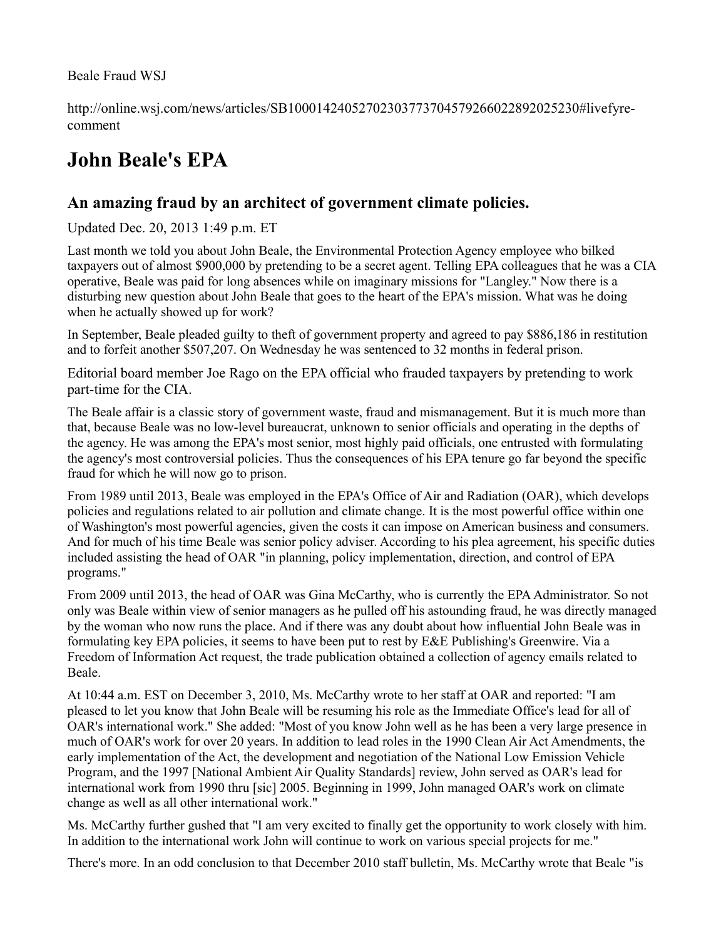## Beale Fraud WSJ

http://online.wsj.com/news/articles/SB10001424052702303773704579266022892025230#livefyrecomment

## **John Beale's EPA**

## **An amazing fraud by an architect of government climate policies.**

## Updated Dec. 20, 2013 1:49 p.m. ET

Last month we told you about John Beale, the Environmental Protection Agency employee who bilked taxpayers out of almost \$900,000 by pretending to be a secret agent. Telling EPA colleagues that he was a CIA operative, Beale was paid for long absences while on imaginary missions for "Langley." Now there is a disturbing new question about John Beale that goes to the heart of the EPA's mission. What was he doing when he actually showed up for work?

In September, Beale pleaded guilty to theft of government property and agreed to pay \$886,186 in restitution and to forfeit another \$507,207. On Wednesday he was sentenced to 32 months in federal prison.

Editorial board member Joe Rago on the EPA official who frauded taxpayers by pretending to work part-time for the CIA.

The Beale affair is a classic story of government waste, fraud and mismanagement. But it is much more than that, because Beale was no low-level bureaucrat, unknown to senior officials and operating in the depths of the agency. He was among the EPA's most senior, most highly paid officials, one entrusted with formulating the agency's most controversial policies. Thus the consequences of his EPA tenure go far beyond the specific fraud for which he will now go to prison.

From 1989 until 2013, Beale was employed in the EPA's Office of Air and Radiation (OAR), which develops policies and regulations related to air pollution and climate change. It is the most powerful office within one of Washington's most powerful agencies, given the costs it can impose on American business and consumers. And for much of his time Beale was senior policy adviser. According to his plea agreement, his specific duties included assisting the head of OAR "in planning, policy implementation, direction, and control of EPA programs."

From 2009 until 2013, the head of OAR was Gina McCarthy, who is currently the EPA Administrator. So not only was Beale within view of senior managers as he pulled off his astounding fraud, he was directly managed by the woman who now runs the place. And if there was any doubt about how influential John Beale was in formulating key EPA policies, it seems to have been put to rest by E&E Publishing's Greenwire. Via a Freedom of Information Act request, the trade publication obtained a collection of agency emails related to Beale.

At 10:44 a.m. EST on December 3, 2010, Ms. McCarthy wrote to her staff at OAR and reported: "I am pleased to let you know that John Beale will be resuming his role as the Immediate Office's lead for all of OAR's international work." She added: "Most of you know John well as he has been a very large presence in much of OAR's work for over 20 years. In addition to lead roles in the 1990 Clean Air Act Amendments, the early implementation of the Act, the development and negotiation of the National Low Emission Vehicle Program, and the 1997 [National Ambient Air Quality Standards] review, John served as OAR's lead for international work from 1990 thru [sic] 2005. Beginning in 1999, John managed OAR's work on climate change as well as all other international work."

Ms. McCarthy further gushed that "I am very excited to finally get the opportunity to work closely with him. In addition to the international work John will continue to work on various special projects for me."

There's more. In an odd conclusion to that December 2010 staff bulletin, Ms. McCarthy wrote that Beale "is